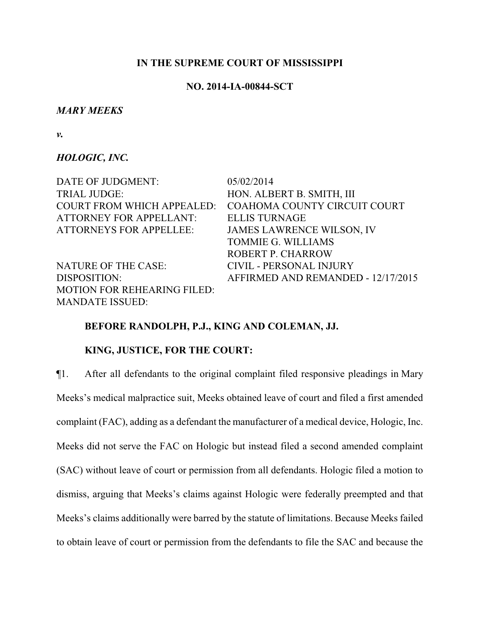### **IN THE SUPREME COURT OF MISSISSIPPI**

## **NO. 2014-IA-00844-SCT**

### *MARY MEEKS*

*v.*

### *HOLOGIC, INC.*

| DATE OF JUDGMENT:                  | 05/02/2014                         |
|------------------------------------|------------------------------------|
| <b>TRIAL JUDGE:</b>                | HON. ALBERT B. SMITH, III          |
| <b>COURT FROM WHICH APPEALED:</b>  | COAHOMA COUNTY CIRCUIT COURT       |
| <b>ATTORNEY FOR APPELLANT:</b>     | <b>ELLIS TURNAGE</b>               |
| <b>ATTORNEYS FOR APPELLEE:</b>     | <b>JAMES LAWRENCE WILSON, IV</b>   |
|                                    | <b>TOMMIE G. WILLIAMS</b>          |
|                                    | <b>ROBERT P. CHARROW</b>           |
| NATURE OF THE CASE:                | <b>CIVIL - PERSONAL INJURY</b>     |
| DISPOSITION:                       | AFFIRMED AND REMANDED - 12/17/2015 |
| <b>MOTION FOR REHEARING FILED:</b> |                                    |
| <b>MANDATE ISSUED:</b>             |                                    |

### **BEFORE RANDOLPH, P.J., KING AND COLEMAN, JJ.**

# **KING, JUSTICE, FOR THE COURT:**

¶1. After all defendants to the original complaint filed responsive pleadings in Mary Meeks's medical malpractice suit, Meeks obtained leave of court and filed a first amended complaint (FAC), adding as a defendant the manufacturer of a medical device, Hologic, Inc. Meeks did not serve the FAC on Hologic but instead filed a second amended complaint (SAC) without leave of court or permission from all defendants. Hologic filed a motion to dismiss, arguing that Meeks's claims against Hologic were federally preempted and that Meeks's claims additionally were barred by the statute of limitations. Because Meeks failed to obtain leave of court or permission from the defendants to file the SAC and because the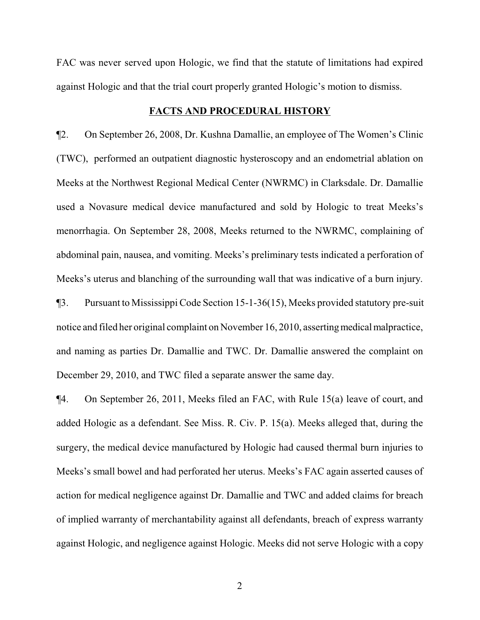FAC was never served upon Hologic, we find that the statute of limitations had expired against Hologic and that the trial court properly granted Hologic's motion to dismiss.

#### **FACTS AND PROCEDURAL HISTORY**

¶2. On September 26, 2008, Dr. Kushna Damallie, an employee of The Women's Clinic (TWC), performed an outpatient diagnostic hysteroscopy and an endometrial ablation on Meeks at the Northwest Regional Medical Center (NWRMC) in Clarksdale. Dr. Damallie used a Novasure medical device manufactured and sold by Hologic to treat Meeks's menorrhagia. On September 28, 2008, Meeks returned to the NWRMC, complaining of abdominal pain, nausea, and vomiting. Meeks's preliminary tests indicated a perforation of Meeks's uterus and blanching of the surrounding wall that was indicative of a burn injury.

¶3. Pursuant to Mississippi Code Section 15-1-36(15), Meeks provided statutory pre-suit notice and filed her original complaint on November 16, 2010, asserting medical malpractice, and naming as parties Dr. Damallie and TWC. Dr. Damallie answered the complaint on December 29, 2010, and TWC filed a separate answer the same day.

¶4. On September 26, 2011, Meeks filed an FAC, with Rule 15(a) leave of court, and added Hologic as a defendant. See Miss. R. Civ. P. 15(a). Meeks alleged that, during the surgery, the medical device manufactured by Hologic had caused thermal burn injuries to Meeks's small bowel and had perforated her uterus. Meeks's FAC again asserted causes of action for medical negligence against Dr. Damallie and TWC and added claims for breach of implied warranty of merchantability against all defendants, breach of express warranty against Hologic, and negligence against Hologic. Meeks did not serve Hologic with a copy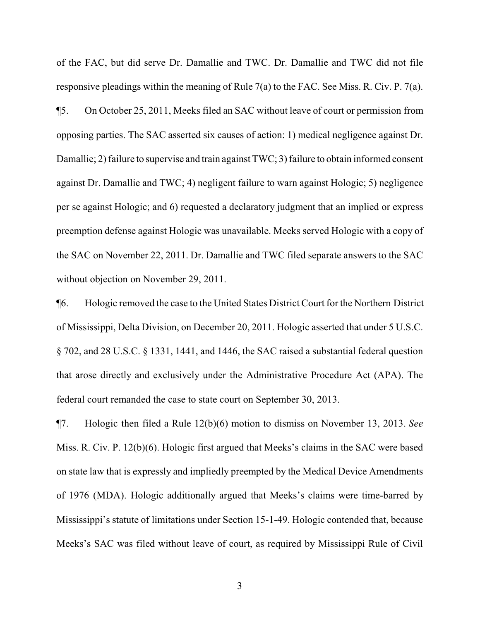of the FAC, but did serve Dr. Damallie and TWC. Dr. Damallie and TWC did not file responsive pleadings within the meaning of Rule 7(a) to the FAC. See Miss. R. Civ. P. 7(a).

¶5. On October 25, 2011, Meeks filed an SAC without leave of court or permission from opposing parties. The SAC asserted six causes of action: 1) medical negligence against Dr. Damallie; 2) failure to supervise and train against TWC; 3) failure to obtain informed consent against Dr. Damallie and TWC; 4) negligent failure to warn against Hologic; 5) negligence per se against Hologic; and 6) requested a declaratory judgment that an implied or express preemption defense against Hologic was unavailable. Meeks served Hologic with a copy of the SAC on November 22, 2011. Dr. Damallie and TWC filed separate answers to the SAC without objection on November 29, 2011.

¶6. Hologic removed the case to the United States District Court for the Northern District of Mississippi, Delta Division, on December 20, 2011. Hologic asserted that under 5 U.S.C. § 702, and 28 U.S.C. § 1331, 1441, and 1446, the SAC raised a substantial federal question that arose directly and exclusively under the Administrative Procedure Act (APA). The federal court remanded the case to state court on September 30, 2013.

¶7. Hologic then filed a Rule 12(b)(6) motion to dismiss on November 13, 2013. *See* Miss. R. Civ. P. 12(b)(6). Hologic first argued that Meeks's claims in the SAC were based on state law that is expressly and impliedly preempted by the Medical Device Amendments of 1976 (MDA). Hologic additionally argued that Meeks's claims were time-barred by Mississippi's statute of limitations under Section 15-1-49. Hologic contended that, because Meeks's SAC was filed without leave of court, as required by Mississippi Rule of Civil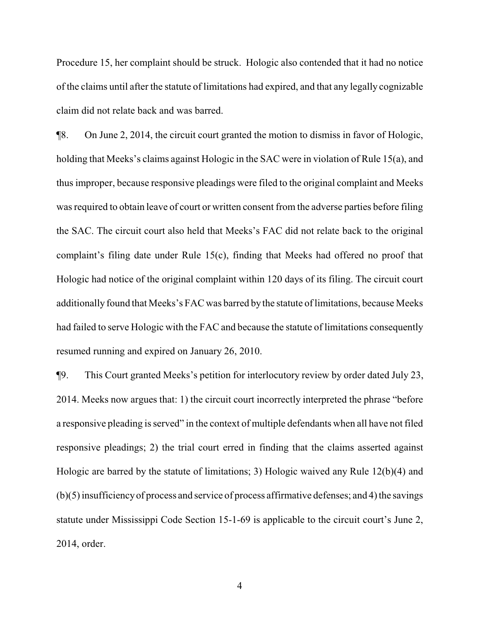Procedure 15, her complaint should be struck. Hologic also contended that it had no notice of the claims until after the statute of limitations had expired, and that any legally cognizable claim did not relate back and was barred.

¶8. On June 2, 2014, the circuit court granted the motion to dismiss in favor of Hologic, holding that Meeks's claims against Hologic in the SAC were in violation of Rule 15(a), and thus improper, because responsive pleadings were filed to the original complaint and Meeks was required to obtain leave of court or written consent from the adverse parties before filing the SAC. The circuit court also held that Meeks's FAC did not relate back to the original complaint's filing date under Rule 15(c), finding that Meeks had offered no proof that Hologic had notice of the original complaint within 120 days of its filing. The circuit court additionally found that Meeks's FAC was barred by the statute of limitations, because Meeks had failed to serve Hologic with the FAC and because the statute of limitations consequently resumed running and expired on January 26, 2010.

¶9. This Court granted Meeks's petition for interlocutory review by order dated July 23, 2014. Meeks now argues that: 1) the circuit court incorrectly interpreted the phrase "before a responsive pleading is served" in the context of multiple defendants when all have not filed responsive pleadings; 2) the trial court erred in finding that the claims asserted against Hologic are barred by the statute of limitations; 3) Hologic waived any Rule 12(b)(4) and (b)(5) insufficiencyof process and service of process affirmative defenses; and 4) the savings statute under Mississippi Code Section 15-1-69 is applicable to the circuit court's June 2, 2014, order.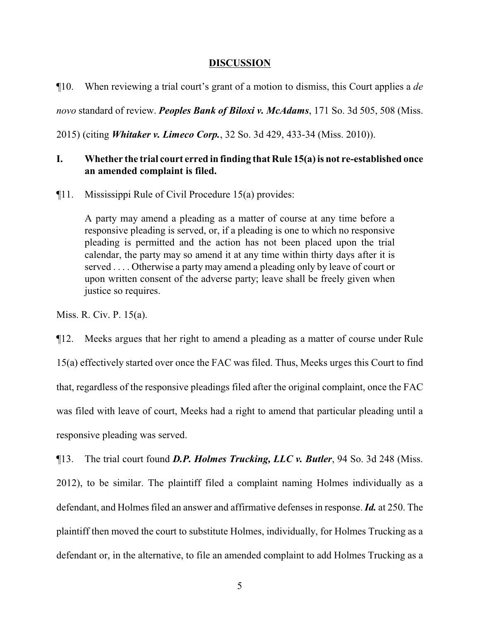### **DISCUSSION**

¶10. When reviewing a trial court's grant of a motion to dismiss, this Court applies a *de*

*novo* standard of review. *Peoples Bank of Biloxi v. McAdams*, 171 So. 3d 505, 508 (Miss.

2015) (citing *Whitaker v. Limeco Corp.*, 32 So. 3d 429, 433-34 (Miss. 2010)).

## **I. Whether the trial court erred in finding that Rule 15(a) is not re-established once an amended complaint is filed.**

¶11. Mississippi Rule of Civil Procedure 15(a) provides:

A party may amend a pleading as a matter of course at any time before a responsive pleading is served, or, if a pleading is one to which no responsive pleading is permitted and the action has not been placed upon the trial calendar, the party may so amend it at any time within thirty days after it is served . . . . Otherwise a party may amend a pleading only by leave of court or upon written consent of the adverse party; leave shall be freely given when justice so requires.

Miss. R. Civ. P. 15(a).

¶12. Meeks argues that her right to amend a pleading as a matter of course under Rule 15(a) effectively started over once the FAC was filed. Thus, Meeks urges this Court to find that, regardless of the responsive pleadings filed after the original complaint, once the FAC was filed with leave of court, Meeks had a right to amend that particular pleading until a responsive pleading was served.

¶13. The trial court found *D.P. Holmes Trucking, LLC v. Butler*, 94 So. 3d 248 (Miss. 2012), to be similar. The plaintiff filed a complaint naming Holmes individually as a defendant, and Holmes filed an answer and affirmative defenses in response. *Id.* at 250. The plaintiff then moved the court to substitute Holmes, individually, for Holmes Trucking as a defendant or, in the alternative, to file an amended complaint to add Holmes Trucking as a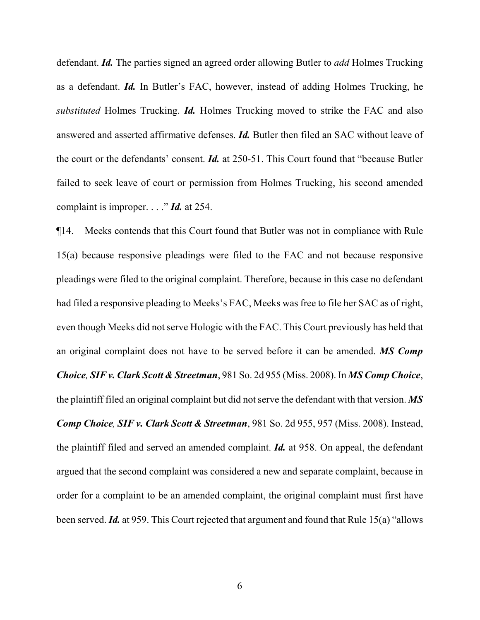defendant. *Id.* The parties signed an agreed order allowing Butler to *add* Holmes Trucking as a defendant. *Id.* In Butler's FAC, however, instead of adding Holmes Trucking, he *substituted* Holmes Trucking. *Id.* Holmes Trucking moved to strike the FAC and also answered and asserted affirmative defenses. *Id.* Butler then filed an SAC without leave of the court or the defendants' consent. *Id.* at 250-51. This Court found that "because Butler failed to seek leave of court or permission from Holmes Trucking, his second amended complaint is improper. . . ." *Id.* at 254.

¶14. Meeks contends that this Court found that Butler was not in compliance with Rule 15(a) because responsive pleadings were filed to the FAC and not because responsive pleadings were filed to the original complaint. Therefore, because in this case no defendant had filed a responsive pleading to Meeks's FAC, Meeks was free to file her SAC as of right, even though Meeks did not serve Hologic with the FAC. This Court previously has held that an original complaint does not have to be served before it can be amended. *MS Comp Choice, SIF v. Clark Scott & Streetman*, 981 So. 2d 955 (Miss. 2008). In *MS CompChoice*, the plaintiff filed an original complaint but did not serve the defendant with that version. *MS Comp Choice, SIF v. Clark Scott & Streetman*, 981 So. 2d 955, 957 (Miss. 2008). Instead, the plaintiff filed and served an amended complaint. *Id.* at 958. On appeal, the defendant argued that the second complaint was considered a new and separate complaint, because in order for a complaint to be an amended complaint, the original complaint must first have been served. *Id.* at 959. This Court rejected that argument and found that Rule 15(a) "allows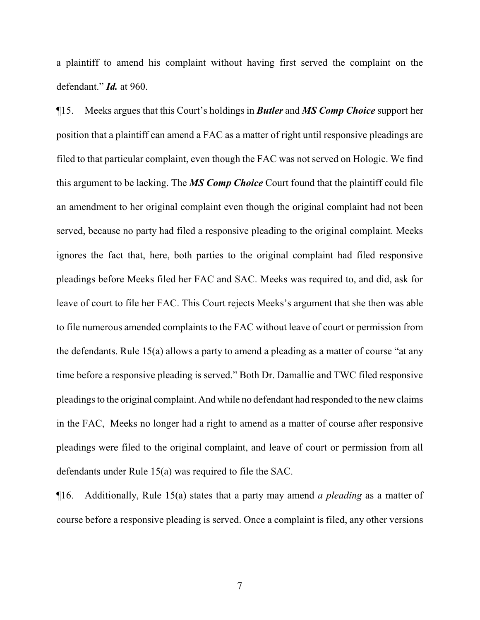a plaintiff to amend his complaint without having first served the complaint on the defendant." *Id.* at 960.

¶15. Meeks argues that this Court's holdings in *Butler* and *MS Comp Choice* support her position that a plaintiff can amend a FAC as a matter of right until responsive pleadings are filed to that particular complaint, even though the FAC was not served on Hologic. We find this argument to be lacking. The *MS Comp Choice* Court found that the plaintiff could file an amendment to her original complaint even though the original complaint had not been served, because no party had filed a responsive pleading to the original complaint. Meeks ignores the fact that, here, both parties to the original complaint had filed responsive pleadings before Meeks filed her FAC and SAC. Meeks was required to, and did, ask for leave of court to file her FAC. This Court rejects Meeks's argument that she then was able to file numerous amended complaints to the FAC without leave of court or permission from the defendants. Rule 15(a) allows a party to amend a pleading as a matter of course "at any time before a responsive pleading is served." Both Dr. Damallie and TWC filed responsive pleadings to the original complaint. And while no defendant had responded to the new claims in the FAC, Meeks no longer had a right to amend as a matter of course after responsive pleadings were filed to the original complaint, and leave of court or permission from all defendants under Rule 15(a) was required to file the SAC.

¶16. Additionally, Rule 15(a) states that a party may amend *a pleading* as a matter of course before a responsive pleading is served. Once a complaint is filed, any other versions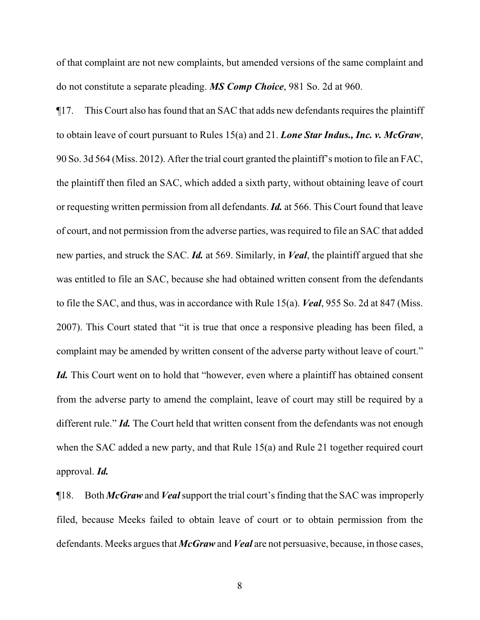of that complaint are not new complaints, but amended versions of the same complaint and do not constitute a separate pleading. *MS Comp Choice*, 981 So. 2d at 960.

¶17. This Court also has found that an SAC that adds new defendants requires the plaintiff to obtain leave of court pursuant to Rules 15(a) and 21. *Lone Star Indus., Inc. v. McGraw*, 90 So. 3d 564 (Miss. 2012). After the trial court granted the plaintiff's motion to file an FAC, the plaintiff then filed an SAC, which added a sixth party, without obtaining leave of court or requesting written permission from all defendants. *Id.* at 566. This Court found that leave of court, and not permission from the adverse parties, was required to file an SAC that added new parties, and struck the SAC. *Id.* at 569. Similarly, in *Veal*, the plaintiff argued that she was entitled to file an SAC, because she had obtained written consent from the defendants to file the SAC, and thus, was in accordance with Rule 15(a). *Veal*, 955 So. 2d at 847 (Miss. 2007). This Court stated that "it is true that once a responsive pleading has been filed, a complaint may be amended by written consent of the adverse party without leave of court." *Id.* This Court went on to hold that "however, even where a plaintiff has obtained consent from the adverse party to amend the complaint, leave of court may still be required by a different rule." *Id*. The Court held that written consent from the defendants was not enough when the SAC added a new party, and that Rule 15(a) and Rule 21 together required court approval. *Id.*

¶18. Both *McGraw* and *Veal*support the trial court's finding that the SAC was improperly filed, because Meeks failed to obtain leave of court or to obtain permission from the defendants. Meeks argues that *McGraw* and *Veal* are not persuasive, because, in those cases,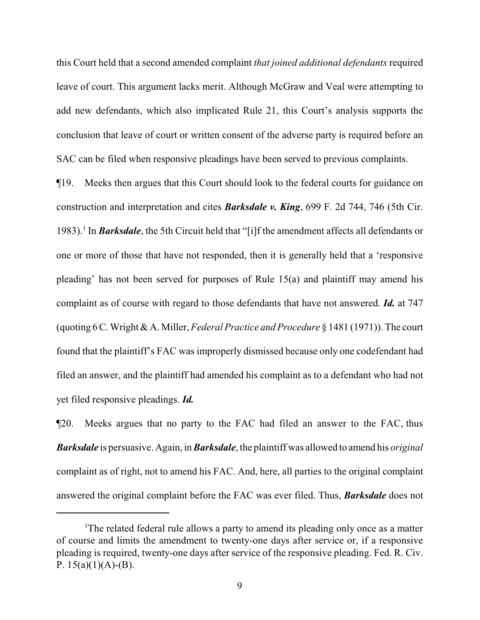this Court held that a second amended complaint *that joined additional defendants* required leave of court. This argument lacks merit. Although McGraw and Veal were attempting to add new defendants, which also implicated Rule 21, this Court's analysis supports the conclusion that leave of court or written consent of the adverse party is required before an SAC can be filed when responsive pleadings have been served to previous complaints.

¶19. Meeks then argues that this Court should look to the federal courts for guidance on construction and interpretation and cites *Barksdale v. King*, 699 F. 2d 744, 746 (5th Cir. 1983).<sup>1</sup> In *Barksdale*, the 5th Circuit held that "[i]f the amendment affects all defendants or one or more of those that have not responded, then it is generally held that a 'responsive pleading' has not been served for purposes of Rule 15(a) and plaintiff may amend his complaint as of course with regard to those defendants that have not answered. *Id.* at 747 (quoting 6 C. Wright & A. Miller, *Federal Practice and Procedure* § 1481 (1971)). The court found that the plaintiff's FAC was improperly dismissed because only one codefendant had filed an answer, and the plaintiff had amended his complaint as to a defendant who had not yet filed responsive pleadings. *Id.*

¶20. Meeks argues that no party to the FAC had filed an answer to the FAC, thus *Barksdale* is persuasive. Again, in *Barksdale*, the plaintiff was allowed to amend his *original* complaint as of right, not to amend his FAC. And, here, all parties to the original complaint answered the original complaint before the FAC was ever filed. Thus, *Barksdale* does not

<sup>&</sup>lt;sup>1</sup>The related federal rule allows a party to amend its pleading only once as a matter of course and limits the amendment to twenty-one days after service or, if a responsive pleading is required, twenty-one days after service of the responsive pleading. Fed. R. Civ. P.  $15(a)(1)(A)-(B)$ .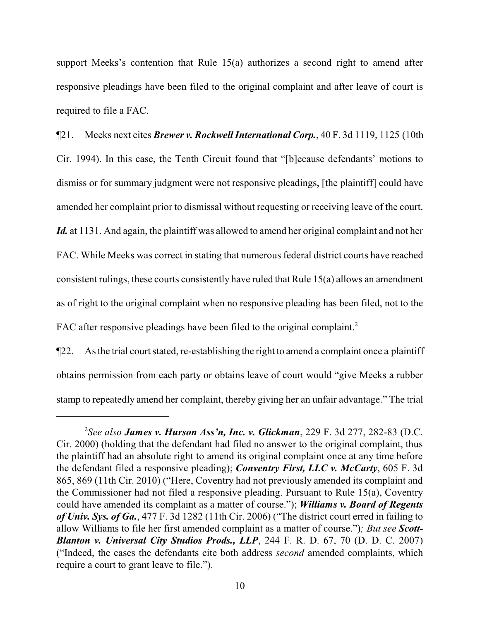support Meeks's contention that Rule 15(a) authorizes a second right to amend after responsive pleadings have been filed to the original complaint and after leave of court is required to file a FAC.

¶21. Meeks next cites *Brewer v. Rockwell International Corp.*, 40 F. 3d 1119, 1125 (10th Cir. 1994). In this case, the Tenth Circuit found that "[b]ecause defendants' motions to dismiss or for summary judgment were not responsive pleadings, [the plaintiff] could have amended her complaint prior to dismissal without requesting or receiving leave of the court. Id. at 1131. And again, the plaintiff was allowed to amend her original complaint and not her FAC. While Meeks was correct in stating that numerous federal district courts have reached consistent rulings, these courts consistently have ruled that Rule 15(a) allows an amendment as of right to the original complaint when no responsive pleading has been filed, not to the FAC after responsive pleadings have been filed to the original complaint.<sup>2</sup>

¶22. As the trial court stated, re-establishing the right to amend a complaint once a plaintiff obtains permission from each party or obtains leave of court would "give Meeks a rubber stamp to repeatedly amend her complaint, thereby giving her an unfair advantage." The trial

<sup>2</sup> *See also James v. Hurson Ass'n, Inc. v. Glickman*, 229 F. 3d 277, 282-83 (D.C. Cir. 2000) (holding that the defendant had filed no answer to the original complaint, thus the plaintiff had an absolute right to amend its original complaint once at any time before the defendant filed a responsive pleading); *Conventry First, LLC v. McCarty*, 605 F. 3d 865, 869 (11th Cir. 2010) ("Here, Coventry had not previously amended its complaint and the Commissioner had not filed a responsive pleading. Pursuant to Rule 15(a), Coventry could have amended its complaint as a matter of course."); *Williams v. Board of Regents of Univ. Sys. of Ga.*, 477 F. 3d 1282 (11th Cir. 2006) ("The district court erred in failing to allow Williams to file her first amended complaint as a matter of course.")*; But see Scott-Blanton v. Universal City Studios Prods., LLP*, 244 F. R. D. 67, 70 (D. D. C. 2007) ("Indeed, the cases the defendants cite both address *second* amended complaints, which require a court to grant leave to file.").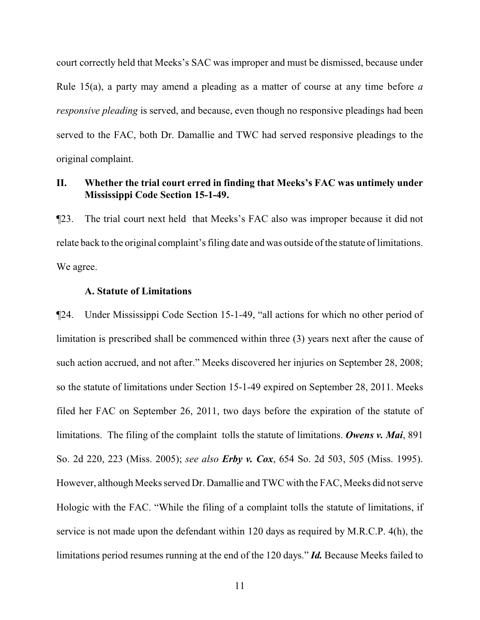court correctly held that Meeks's SAC was improper and must be dismissed, because under Rule 15(a), a party may amend a pleading as a matter of course at any time before *a responsive pleading* is served, and because, even though no responsive pleadings had been served to the FAC, both Dr. Damallie and TWC had served responsive pleadings to the original complaint.

# **II. Whether the trial court erred in finding that Meeks's FAC was untimely under Mississippi Code Section 15-1-49.**

¶23. The trial court next held that Meeks's FAC also was improper because it did not relate back to the original complaint's filing date and was outside of the statute of limitations. We agree.

### **A. Statute of Limitations**

¶24. Under Mississippi Code Section 15-1-49, "all actions for which no other period of limitation is prescribed shall be commenced within three (3) years next after the cause of such action accrued, and not after." Meeks discovered her injuries on September 28, 2008; so the statute of limitations under Section 15-1-49 expired on September 28, 2011. Meeks filed her FAC on September 26, 2011, two days before the expiration of the statute of limitations. The filing of the complaint tolls the statute of limitations. *Owens v. Mai*, 891 So. 2d 220, 223 (Miss. 2005); *see also Erby v. Cox*, 654 So. 2d 503, 505 (Miss. 1995). However, although Meeks served Dr. Damallie and TWC with the FAC, Meeks did not serve Hologic with the FAC. "While the filing of a complaint tolls the statute of limitations, if service is not made upon the defendant within 120 days as required by M.R.C.P. 4(h), the limitations period resumes running at the end of the 120 days." *Id.* Because Meeks failed to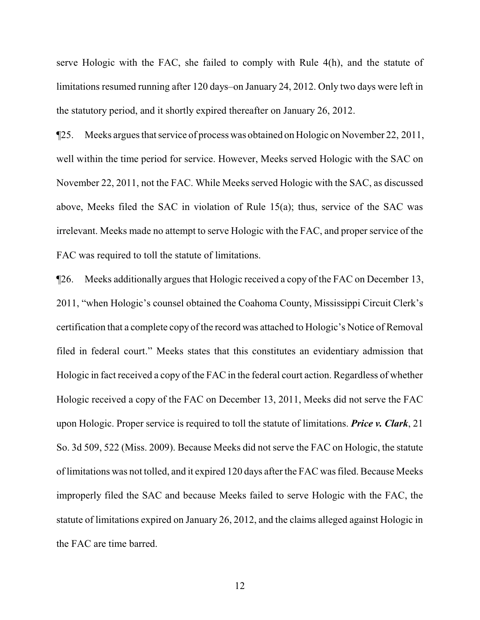serve Hologic with the FAC, she failed to comply with Rule 4(h), and the statute of limitations resumed running after 120 days–on January 24, 2012. Only two days were left in the statutory period, and it shortly expired thereafter on January 26, 2012.

¶25. Meeks argues that service of process was obtained on Hologic on November 22, 2011, well within the time period for service. However, Meeks served Hologic with the SAC on November 22, 2011, not the FAC. While Meeks served Hologic with the SAC, as discussed above, Meeks filed the SAC in violation of Rule 15(a); thus, service of the SAC was irrelevant. Meeks made no attempt to serve Hologic with the FAC, and proper service of the FAC was required to toll the statute of limitations.

¶26. Meeks additionally argues that Hologic received a copy of the FAC on December 13, 2011, "when Hologic's counsel obtained the Coahoma County, Mississippi Circuit Clerk's certification that a complete copy of the record was attached to Hologic's Notice of Removal filed in federal court." Meeks states that this constitutes an evidentiary admission that Hologic in fact received a copy of the FAC in the federal court action. Regardless of whether Hologic received a copy of the FAC on December 13, 2011, Meeks did not serve the FAC upon Hologic. Proper service is required to toll the statute of limitations. *Price v. Clark*, 21 So. 3d 509, 522 (Miss. 2009). Because Meeks did not serve the FAC on Hologic, the statute of limitations was not tolled, and it expired 120 days after the FAC was filed. Because Meeks improperly filed the SAC and because Meeks failed to serve Hologic with the FAC, the statute of limitations expired on January 26, 2012, and the claims alleged against Hologic in the FAC are time barred.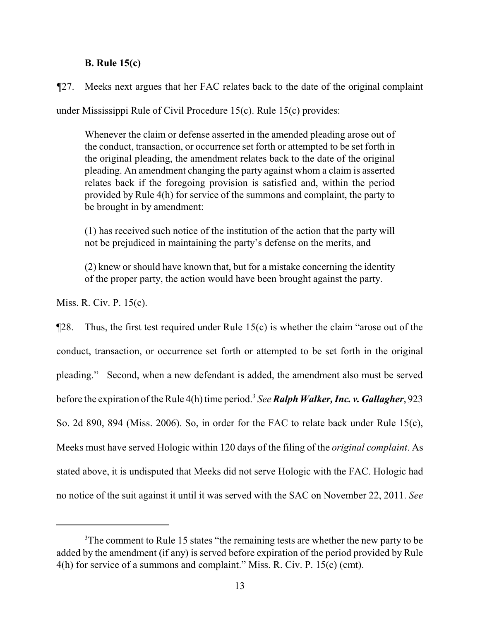## **B. Rule 15(c)**

*¶*27. Meeks next argues that her FAC relates back to the date of the original complaint

under Mississippi Rule of Civil Procedure 15(c). Rule 15(c) provides:

Whenever the claim or defense asserted in the amended pleading arose out of the conduct, transaction, or occurrence set forth or attempted to be set forth in the original pleading, the amendment relates back to the date of the original pleading. An amendment changing the party against whom a claim is asserted relates back if the foregoing provision is satisfied and, within the period provided by Rule 4(h) for service of the summons and complaint, the party to be brought in by amendment:

(1) has received such notice of the institution of the action that the party will not be prejudiced in maintaining the party's defense on the merits, and

(2) knew or should have known that, but for a mistake concerning the identity of the proper party, the action would have been brought against the party.

Miss. R. Civ. P. 15(c).

 $\P$ 28. Thus, the first test required under Rule 15(c) is whether the claim "arose out of the conduct, transaction, or occurrence set forth or attempted to be set forth in the original pleading." Second, when a new defendant is added, the amendment also must be served before the expiration of the Rule 4(h) time period.<sup>3</sup> *SeeRalph Walker, Inc. v. Gallagher*, 923 So. 2d 890, 894 (Miss. 2006). So, in order for the FAC to relate back under Rule 15(c), Meeks must have served Hologic within 120 days of the filing of the *original complaint*. As stated above, it is undisputed that Meeks did not serve Hologic with the FAC. Hologic had no notice of the suit against it until it was served with the SAC on November 22, 2011. *See*

<sup>&</sup>lt;sup>3</sup>The comment to Rule 15 states "the remaining tests are whether the new party to be added by the amendment (if any) is served before expiration of the period provided by Rule 4(h) for service of a summons and complaint." Miss. R. Civ. P. 15(c) (cmt).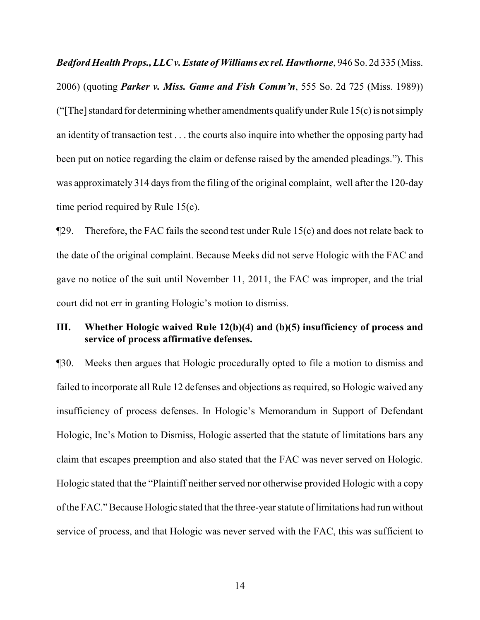*Bedford Health Props., LLC v. Estate of Williams ex rel. Hawthorne*, 946 So. 2d 335 (Miss. 2006) (quoting *Parker v. Miss. Game and Fish Comm'n*, 555 So. 2d 725 (Miss. 1989)) ("The] standard for determining whether amendments qualify under Rule  $15(c)$  is not simply an identity of transaction test . . . the courts also inquire into whether the opposing party had been put on notice regarding the claim or defense raised by the amended pleadings."). This was approximately 314 days from the filing of the original complaint, well after the 120-day time period required by Rule 15(c).

 $\P$ 29. Therefore, the FAC fails the second test under Rule 15(c) and does not relate back to the date of the original complaint. Because Meeks did not serve Hologic with the FAC and gave no notice of the suit until November 11, 2011, the FAC was improper, and the trial court did not err in granting Hologic's motion to dismiss.

# **III. Whether Hologic waived Rule 12(b)(4) and (b)(5) insufficiency of process and service of process affirmative defenses.**

¶30. Meeks then argues that Hologic procedurally opted to file a motion to dismiss and failed to incorporate all Rule 12 defenses and objections as required, so Hologic waived any insufficiency of process defenses. In Hologic's Memorandum in Support of Defendant Hologic, Inc's Motion to Dismiss, Hologic asserted that the statute of limitations bars any claim that escapes preemption and also stated that the FAC was never served on Hologic. Hologic stated that the "Plaintiff neither served nor otherwise provided Hologic with a copy of the FAC." Because Hologic stated that the three-year statute of limitations had run without service of process, and that Hologic was never served with the FAC, this was sufficient to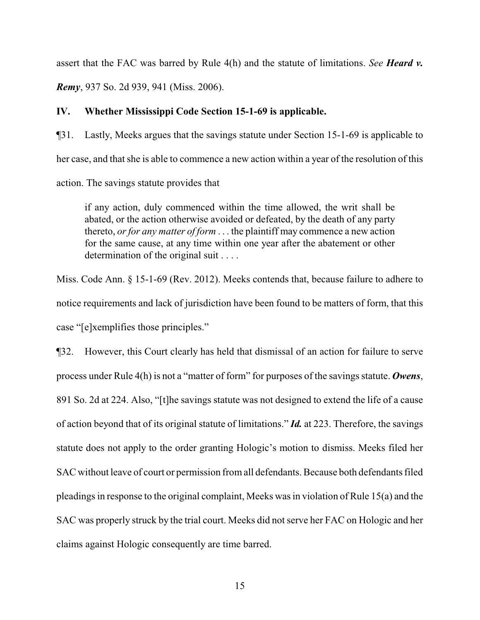assert that the FAC was barred by Rule 4(h) and the statute of limitations. *See Heard v.*

*Remy*, 937 So. 2d 939, 941 (Miss. 2006).

### **IV. Whether Mississippi Code Section 15-1-69 is applicable.**

¶31. Lastly, Meeks argues that the savings statute under Section 15-1-69 is applicable to her case, and that she is able to commence a new action within a year of the resolution of this action. The savings statute provides that

if any action, duly commenced within the time allowed, the writ shall be abated, or the action otherwise avoided or defeated, by the death of any party thereto, *or for any matter of form* . . . the plaintiff may commence a new action for the same cause, at any time within one year after the abatement or other determination of the original suit . . . .

Miss. Code Ann. § 15-1-69 (Rev. 2012). Meeks contends that, because failure to adhere to notice requirements and lack of jurisdiction have been found to be matters of form, that this case "[e]xemplifies those principles."

¶32. However, this Court clearly has held that dismissal of an action for failure to serve process under Rule 4(h) is not a "matter of form" for purposes of the savings statute. *Owens*, 891 So. 2d at 224. Also, "[t]he savings statute was not designed to extend the life of a cause of action beyond that of its original statute of limitations." *Id.* at 223. Therefore, the savings statute does not apply to the order granting Hologic's motion to dismiss. Meeks filed her SAC without leave of court or permission fromall defendants. Because both defendants filed pleadings in response to the original complaint, Meeks was in violation of Rule 15(a) and the SAC was properly struck by the trial court. Meeks did not serve her FAC on Hologic and her claims against Hologic consequently are time barred.